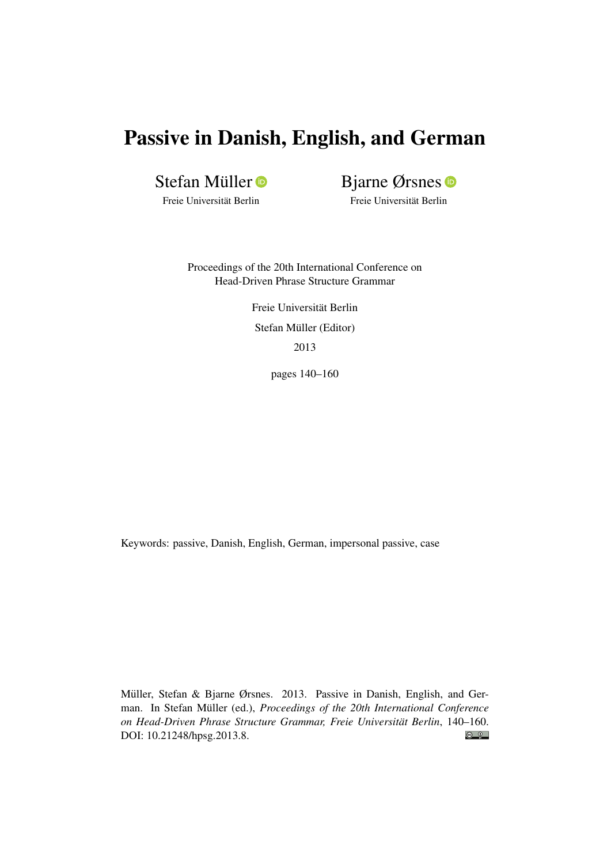# Passive in Danish, English, and German

Stefan Müller

Bjarne Ørsnes

Freie Universität Berlin

Freie Universität Berlin

Proceedings of the 20th International Conference on Head-Driven Phrase Structure Grammar

> Freie Universität Berlin Stefan Müller (Editor) 2013

> > pages 140–160

Keywords: passive, Danish, English, German, impersonal passive, case

Müller, Stefan & Bjarne Ørsnes. 2013. Passive in Danish, English, and German. In Stefan Müller (ed.), *Proceedings of the 20th International Conference on Head-Driven Phrase Structure Grammar, Freie Universität Berlin*, 140–160.  $\bigcirc$   $\bigcirc$ DOI: [10.21248/hpsg.2013.8.](http://doi.org/10.21248/hpsg.2013.8)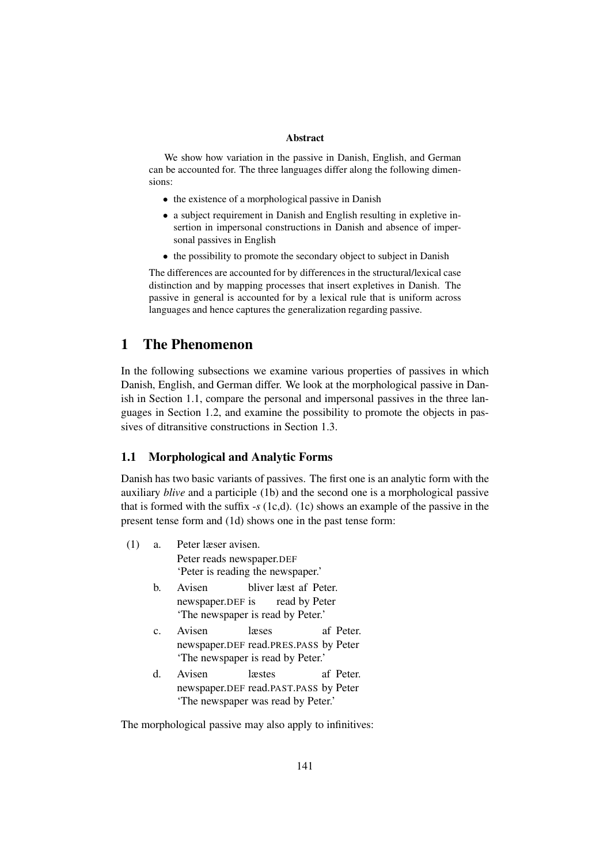#### Abstract

We show how variation in the passive in Danish, English, and German can be accounted for. The three languages differ along the following dimensions:

- the existence of a morphological passive in Danish
- a subject requirement in Danish and English resulting in expletive insertion in impersonal constructions in Danish and absence of impersonal passives in English
- the possibility to promote the secondary object to subject in Danish

The differences are accounted for by differences in the structural/lexical case distinction and by mapping processes that insert expletives in Danish. The passive in general is accounted for by a lexical rule that is uniform across languages and hence captures the generalization regarding passive.

# 1 The Phenomenon

In the following subsections we examine various properties of passives in which Danish, English, and German differ. We look at the morphological passive in Danish in Section 1.1, compare the personal and impersonal passives in the three languages in Section 1.2, and examine the possibility to promote the objects in passives of ditransitive constructions in Section 1.3.

# 1.1 Morphological and Analytic Forms

Danish has two basic variants of passives. The first one is an analytic form with the auxiliary *blive* and a participle (1b) and the second one is a morphological passive that is formed with the suffix -*s* (1c,d). (1c) shows an example of the passive in the present tense form and (1d) shows one in the past tense form:

- (1) a. Peter læser avisen. Peter reads newspaper.DEF 'Peter is reading the newspaper.'
	- b. Avisen newspaper.DEF is bliver læst af Peter. read by Peter 'The newspaper is read by Peter.'
	- c. Avisen newspaper.DEF read.PRES.PASS by Peter læses af Peter. 'The newspaper is read by Peter.'
	- d. Avisen newspaper.DEF read.PAST.PASS by Peter læstes af Peter. 'The newspaper was read by Peter.'

The morphological passive may also apply to infinitives: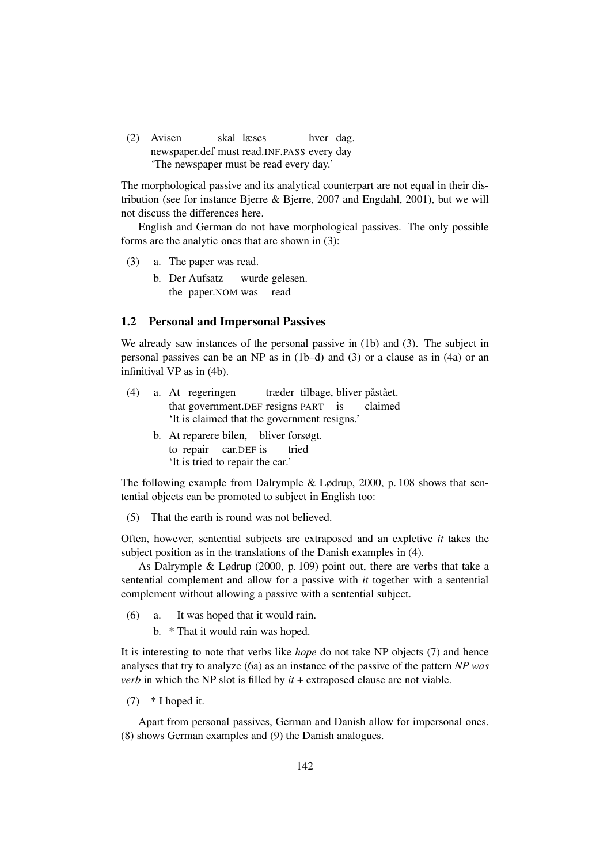(2) Avisen newspaper.def must read.INF.PASS every day skal læses hver dag. 'The newspaper must be read every day.'

The morphological passive and its analytical counterpart are not equal in their distribution (see for instance Bjerre & Bjerre, 2007 and Engdahl, 2001), but we will not discuss the differences here.

English and German do not have morphological passives. The only possible forms are the analytic ones that are shown in (3):

- (3) a. The paper was read.
	- b. Der Aufsatz the paper.NOM was wurde gelesen. read

## 1.2 Personal and Impersonal Passives

We already saw instances of the personal passive in (1b) and (3). The subject in personal passives can be an NP as in (1b–d) and (3) or a clause as in (4a) or an infinitival VP as in (4b).

| (4) | a. At regeringen træder tilbage, bliver påstået. |  |  |  |
|-----|--------------------------------------------------|--|--|--|
|     | that government. DEF resigns PART is claimed     |  |  |  |
|     | It is claimed that the government resigns.       |  |  |  |
|     | b. At reparere bilen, bliver forsøgt.            |  |  |  |
|     | to repair car.DEF is tried                       |  |  |  |
|     | 'It is tried to repair the car.'                 |  |  |  |

The following example from Dalrymple & Lødrup, 2000, p. 108 shows that sentential objects can be promoted to subject in English too:

(5) That the earth is round was not believed.

Often, however, sentential subjects are extraposed and an expletive *it* takes the subject position as in the translations of the Danish examples in (4).

As Dalrymple & Lødrup (2000, p. 109) point out, there are verbs that take a sentential complement and allow for a passive with *it* together with a sentential complement without allowing a passive with a sentential subject.

(6) a. It was hoped that it would rain.

b. \* That it would rain was hoped.

It is interesting to note that verbs like *hope* do not take NP objects (7) and hence analyses that try to analyze (6a) as an instance of the passive of the pattern *NP was verb* in which the NP slot is filled by *it* + extraposed clause are not viable.

(7) \* I hoped it.

Apart from personal passives, German and Danish allow for impersonal ones. (8) shows German examples and (9) the Danish analogues.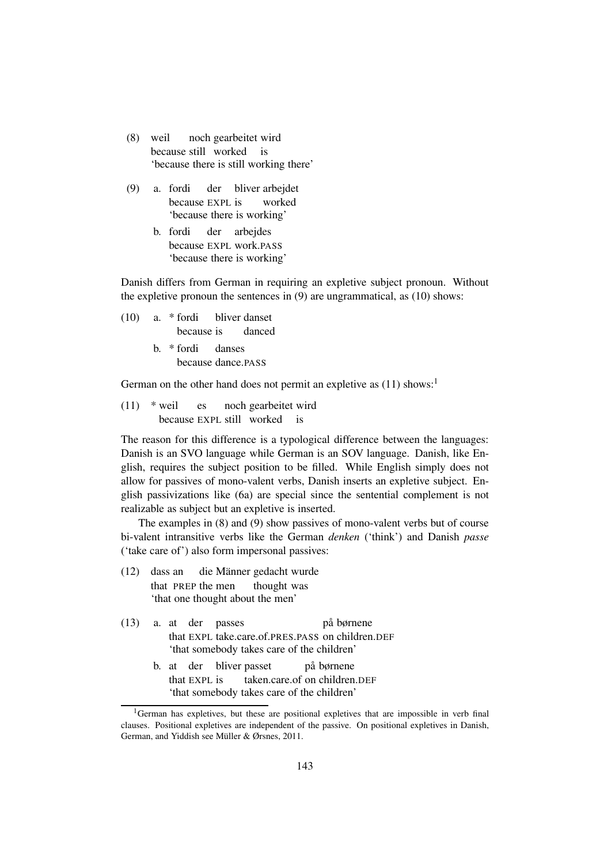- (8) weil because still worked noch gearbeitet wird is 'because there is still working there'
- (9) a. fordi because EXPL is der bliver arbejdet worked 'because there is working'
	- b. fordi because EXPL work.PASS der arbejdes 'because there is working'

Danish differs from German in requiring an expletive subject pronoun. Without the expletive pronoun the sentences in (9) are ungrammatical, as (10) shows:

- (10) a. \* fordi because is bliver danset danced
	- b. \* fordi because dance.PASS danses

German on the other hand does not permit an expletive as  $(11)$  shows:<sup>1</sup>

 $(11)$  \* weil because EXPL still worked is es noch gearbeitet wird

The reason for this difference is a typological difference between the languages: Danish is an SVO language while German is an SOV language. Danish, like English, requires the subject position to be filled. While English simply does not allow for passives of mono-valent verbs, Danish inserts an expletive subject. English passivizations like (6a) are special since the sentential complement is not realizable as subject but an expletive is inserted.

The examples in (8) and (9) show passives of mono-valent verbs but of course bi-valent intransitive verbs like the German *denken* ('think') and Danish *passe* ('take care of') also form impersonal passives:

- $(12)$ that PREP the men dass an die Männer gedacht wurde thought was 'that one thought about the men'
- (13) a. at der passes that EXPL take.care.of.PRES.PASS on children.DEF på børnene 'that somebody takes care of the children'
	- b. at der bliver passet that EXPL is taken.care.of on children.DEF på børnene 'that somebody takes care of the children'

 $1$ German has expletives, but these are positional expletives that are impossible in verb final clauses. Positional expletives are independent of the passive. On positional expletives in Danish, German, and Yiddish see Müller & Ørsnes, 2011.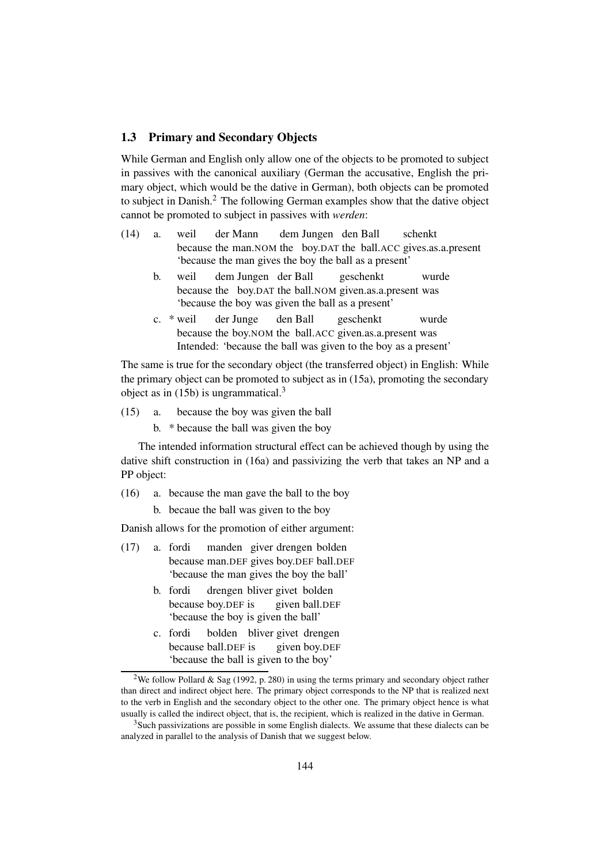## 1.3 Primary and Secondary Objects

While German and English only allow one of the objects to be promoted to subject in passives with the canonical auxiliary (German the accusative, English the primary object, which would be the dative in German), both objects can be promoted to subject in Danish.<sup>2</sup> The following German examples show that the dative object cannot be promoted to subject in passives with *werden*:

- (14) a. weil because the man.NOM the boy.DAT the ball.ACC gives.as.a.present der Mann dem Jungen den Ball schenkt 'because the man gives the boy the ball as a present'
	- b. weil because the boy.DAT the ball.NOM given.as.a.present was dem Jungen der Ball geschenkt wurde 'because the boy was given the ball as a present'
	- c. \* weil because the boy.NOM the ball.ACC given.as.a.present was der Junge den Ball geschenkt wurde Intended: 'because the ball was given to the boy as a present'

The same is true for the secondary object (the transferred object) in English: While the primary object can be promoted to subject as in (15a), promoting the secondary object as in  $(15b)$  is ungrammatical.<sup>3</sup>

- (15) a. because the boy was given the ball
	- b. \* because the ball was given the boy

The intended information structural effect can be achieved though by using the dative shift construction in (16a) and passivizing the verb that takes an NP and a PP object:

- (16) a. because the man gave the ball to the boy
	- b. becaue the ball was given to the boy

Danish allows for the promotion of either argument:

- (17) a. fordi because man.DEF gives boy.DEF ball.DEF manden giver drengen bolden 'because the man gives the boy the ball'
	- b. fordi because boy.DEF is drengen bliver givet bolden given ball.DEF 'because the boy is given the ball'
	- c. fordi because ball.DEF is bolden bliver givet drengen given boy.DEF 'because the ball is given to the boy'

<sup>&</sup>lt;sup>2</sup>We follow Pollard & Sag (1992, p. 280) in using the terms primary and secondary object rather than direct and indirect object here. The primary object corresponds to the NP that is realized next to the verb in English and the secondary object to the other one. The primary object hence is what usually is called the indirect object, that is, the recipient, which is realized in the dative in German.

<sup>&</sup>lt;sup>3</sup>Such passivizations are possible in some English dialects. We assume that these dialects can be analyzed in parallel to the analysis of Danish that we suggest below.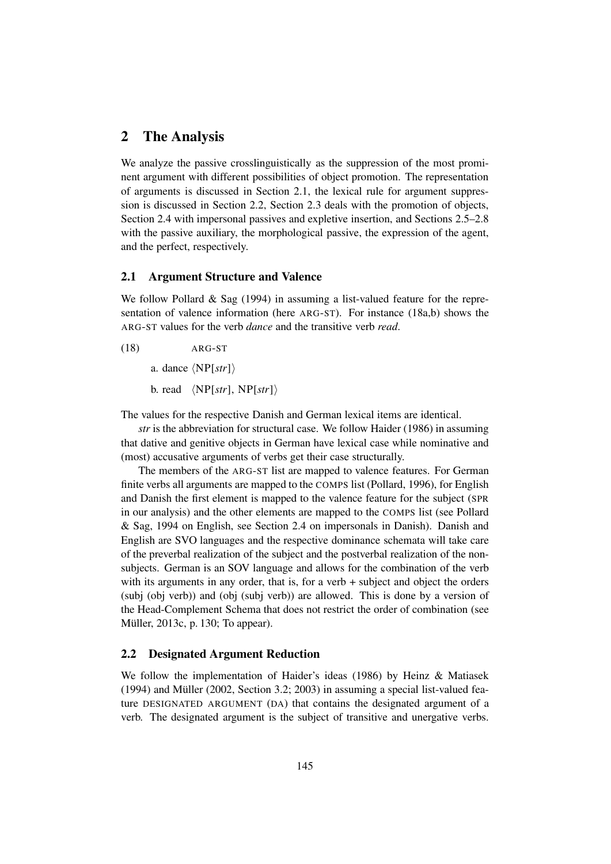# 2 The Analysis

We analyze the passive crosslinguistically as the suppression of the most prominent argument with different possibilities of object promotion. The representation of arguments is discussed in Section 2.1, the lexical rule for argument suppression is discussed in Section 2.2, Section 2.3 deals with the promotion of objects, Section 2.4 with impersonal passives and expletive insertion, and Sections 2.5–2.8 with the passive auxiliary, the morphological passive, the expression of the agent, and the perfect, respectively.

## 2.1 Argument Structure and Valence

We follow Pollard & Sag (1994) in assuming a list-valued feature for the representation of valence information (here ARG-ST). For instance (18a,b) shows the ARG-ST values for the verb *dance* and the transitive verb *read*.

(18) ARG-ST

a. dance  $\langle NP[str]\rangle$ 

b. read  $\langle NP[str], NP[str] \rangle$ 

The values for the respective Danish and German lexical items are identical.

*str* is the abbreviation for structural case. We follow Haider (1986) in assuming that dative and genitive objects in German have lexical case while nominative and (most) accusative arguments of verbs get their case structurally.

The members of the ARG-ST list are mapped to valence features. For German finite verbs all arguments are mapped to the COMPS list (Pollard, 1996), for English and Danish the first element is mapped to the valence feature for the subject (SPR in our analysis) and the other elements are mapped to the COMPS list (see Pollard & Sag, 1994 on English, see Section 2.4 on impersonals in Danish). Danish and English are SVO languages and the respective dominance schemata will take care of the preverbal realization of the subject and the postverbal realization of the nonsubjects. German is an SOV language and allows for the combination of the verb with its arguments in any order, that is, for a verb + subject and object the orders (subj (obj verb)) and (obj (subj verb)) are allowed. This is done by a version of the Head-Complement Schema that does not restrict the order of combination (see Müller, 2013c, p. 130; To appear).

## 2.2 Designated Argument Reduction

We follow the implementation of Haider's ideas (1986) by Heinz & Matiasek (1994) and Müller (2002, Section 3.2; 2003) in assuming a special list-valued feature DESIGNATED ARGUMENT (DA) that contains the designated argument of a verb. The designated argument is the subject of transitive and unergative verbs.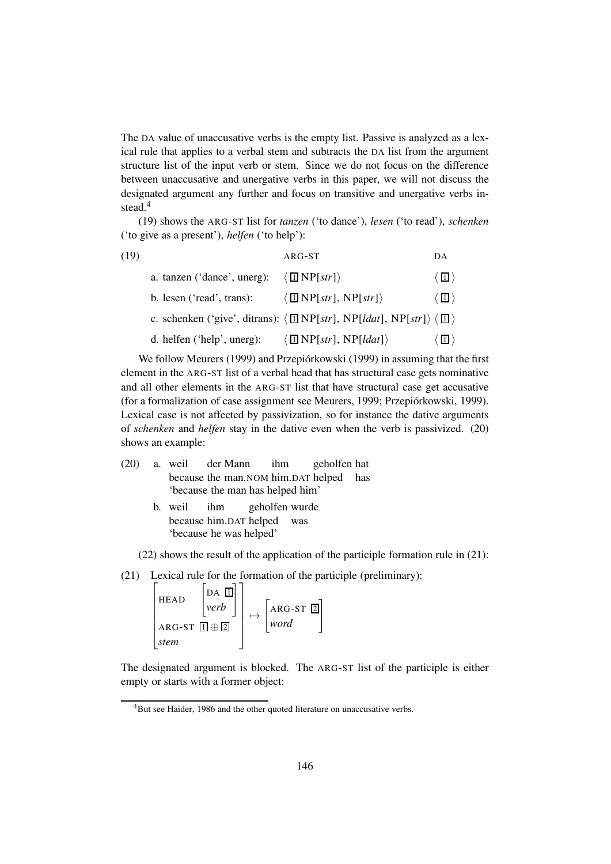The DA value of unaccusative verbs is the empty list. Passive is analyzed as a lexical rule that applies to a verbal stem and subtracts the DA list from the argument structure list of the input verb or stem. Since we do not focus on the difference between unaccusative and unergative verbs in this paper, we will not discuss the designated argument any further and focus on transitive and unergative verbs instead.<sup>4</sup>

(19) shows the ARG-ST list for *tanzen* ('to dance'), *lesen* ('to read'), *schenken* ('to give as a present'), *helfen* ('to help'):

| (19) |                              | ARG-ST                                                                                                | DA                               |
|------|------------------------------|-------------------------------------------------------------------------------------------------------|----------------------------------|
|      | a. tanzen ('dance', unerg):  | $\langle \Box \text{ NP}[str] \rangle$                                                                | $\sqrt{1}$                       |
|      | b. lesen ('read', trans):    | $\langle \Box \text{NP}[str], \text{NP}[str] \rangle$                                                 | $\langle  \, \boxdot \, \rangle$ |
|      |                              | c. schenken ('give', ditrans): $\langle \Box NP[str], NP[ldat], NP[str] \rangle \langle \Box \rangle$ |                                  |
|      | d. helfen $('help', unerg):$ | $\langle \Box \text{NP}[str], \text{NP}[data] \rangle$                                                | 1                                |

We follow Meurers (1999) and Przepiórkowski (1999) in assuming that the first element in the ARG-ST list of a verbal head that has structural case gets nominative and all other elements in the ARG-ST list that have structural case get accusative (for a formalization of case assignment see Meurers, 1999; Przepiórkowski, 1999). Lexical case is not affected by passivization, so for instance the dative arguments of *schenken* and *helfen* stay in the dative even when the verb is passivized. (20) shows an example:

- (20) a. weil because the man.NOM him.DAT helped has der Mann ihm geholfen hat 'because the man has helped him'
	- b. weil because him.DAT helped ihm geholfen wurde was 'because he was helped'

(22) shows the result of the application of the participle formation rule in (21):

(21) Lexical rule for the formation of the participle (preliminary):

$$
\begin{bmatrix} \begin{bmatrix} \text{HEAD} & \begin{bmatrix} \text{DA} & \boxed{\Box} \\ \text{verb} \end{bmatrix} \end{bmatrix} \\ \begin{bmatrix} \text{ARG-ST} & \boxed{\Box} \oplus \boxed{\Box} \end{bmatrix} & \mapsto \begin{bmatrix} \text{ARG-ST} & \boxed{\Box} \\ \text{word} & \end{bmatrix} \\ \text{stem} \end{bmatrix}
$$

The designated argument is blocked. The ARG-ST list of the participle is either empty or starts with a former object:

<sup>&</sup>lt;sup>4</sup>But see Haider, 1986 and the other quoted literature on unaccusative verbs.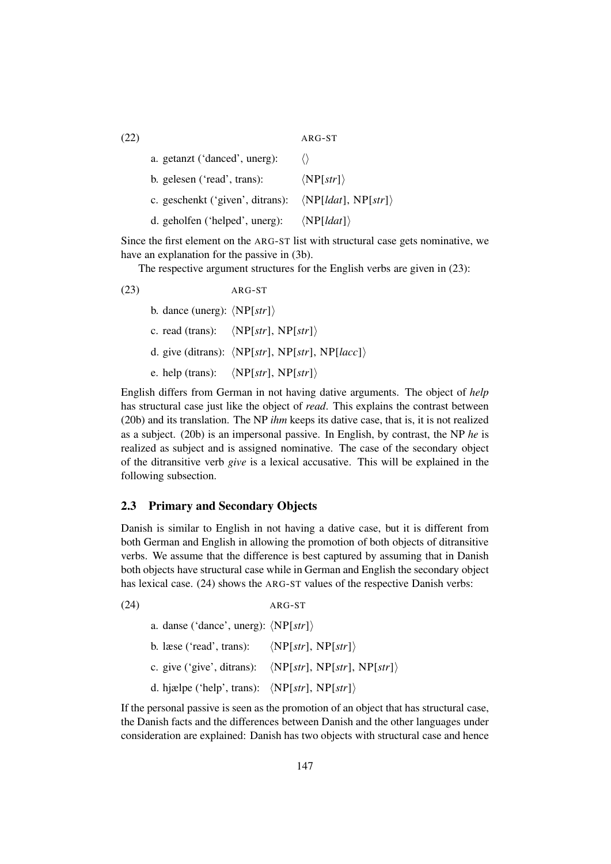(22) ARG-ST a. getanzt ('danced', unerg):  $\langle \rangle$ b. gelesen ('read', trans):  $\langle NP[str]\rangle$ c. geschenkt ('given', ditrans):  $\langle NP[ldat], NP[str] \rangle$ d. geholfen ('helped', unerg):  $\langle NP[ldat]\rangle$ 

Since the first element on the ARG-ST list with structural case gets nominative, we have an explanation for the passive in (3b).

The respective argument structures for the English verbs are given in (23):

(23) ARG-ST b. dance (unerg):  $\langle NP[str]\rangle$ c. read (trans):  $\langle NP[str], NP[str] \rangle$ d. give (ditrans):  $\langle NP[str], NP[str], NP[lacc] \rangle$ e. help (trans):  $\langle NP[str], NP[str] \rangle$ 

English differs from German in not having dative arguments. The object of *help* has structural case just like the object of *read*. This explains the contrast between (20b) and its translation. The NP *ihm* keeps its dative case, that is, it is not realized as a subject. (20b) is an impersonal passive. In English, by contrast, the NP *he* is realized as subject and is assigned nominative. The case of the secondary object of the ditransitive verb *give* is a lexical accusative. This will be explained in the following subsection.

#### 2.3 Primary and Secondary Objects

Danish is similar to English in not having a dative case, but it is different from both German and English in allowing the promotion of both objects of ditransitive verbs. We assume that the difference is best captured by assuming that in Danish both objects have structural case while in German and English the secondary object has lexical case. (24) shows the ARG-ST values of the respective Danish verbs:

| (24) |                                                               | ARG-ST                                                                 |  |
|------|---------------------------------------------------------------|------------------------------------------------------------------------|--|
|      | a. danse ('dance', unerg): $\langle NP[str] \rangle$          |                                                                        |  |
|      | b. læse ('read', trans): $\langle NP[str], NP[str] \rangle$   |                                                                        |  |
|      |                                                               | c. give ('give', ditrans): $\langle NP[str], NP[str], NP[str] \rangle$ |  |
|      | d. hjælpe ('help', trans): $\langle NP[str], NP[str] \rangle$ |                                                                        |  |

If the personal passive is seen as the promotion of an object that has structural case, the Danish facts and the differences between Danish and the other languages under consideration are explained: Danish has two objects with structural case and hence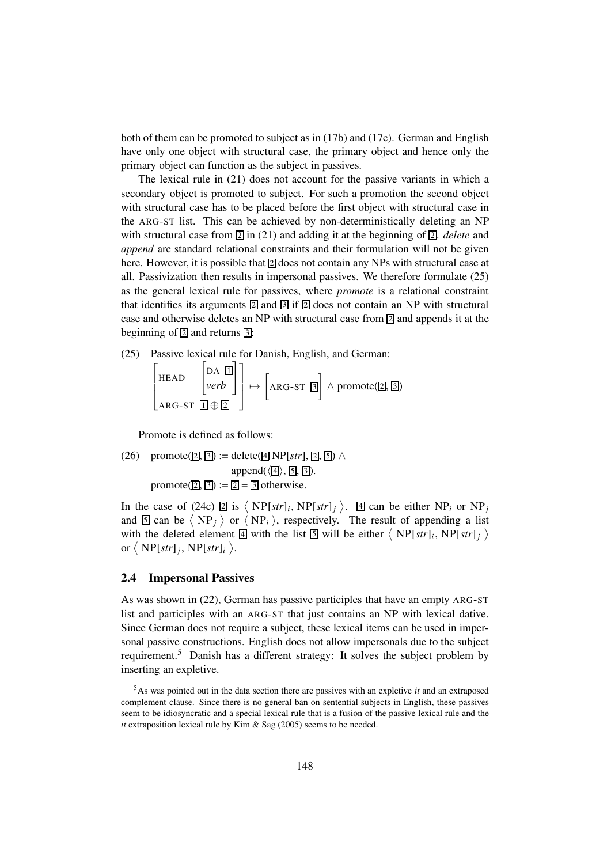both of them can be promoted to subject as in (17b) and (17c). German and English have only one object with structural case, the primary object and hence only the primary object can function as the subject in passives.

The lexical rule in (21) does not account for the passive variants in which a secondary object is promoted to subject. For such a promotion the second object with structural case has to be placed before the first object with structural case in the ARG-ST list. This can be achieved by non-deterministically deleting an NP with structural case from  $\boxed{2}$  in (21) and adding it at the beginning of  $\boxed{2}$ . *delete* and *append* are standard relational constraints and their formulation will not be given here. However, it is possible that  $\mathbb{Z}$  does not contain any NPs with structural case at all. Passivization then results in impersonal passives. We therefore formulate (25) as the general lexical rule for passives, where *promote* is a relational constraint that identifies its arguments  $\boxed{2}$  and  $\boxed{3}$  if  $\boxed{2}$  does not contain an NP with structural case and otherwise deletes an NP with structural case from  $\boxed{2}$  and appends it at the beginning of  $\overline{2}$  and returns  $\overline{3}$ :

(25) Passive lexical rule for Danish, English, and German:

$$
\begin{bmatrix} \begin{bmatrix} \text{HAD} & \begin{bmatrix} \text{DA} & \boxed{\mathbf{I}} \end{bmatrix} \\ \begin{bmatrix} \text{VEAD} \\ \text{ARG-ST} & \boxed{\mathbf{I}} \end{bmatrix} \end{bmatrix} \rightarrow \begin{bmatrix} \begin{bmatrix} \text{ARG-ST} & \boxed{3} \end{bmatrix} \end{bmatrix} \wedge \text{promote}(\boxed{2}, \boxed{3})
$$

Promote is defined as follows:

(26) promote(
$$
\boxed{2}
$$
,  $\boxed{3}$ ): = delete( $\boxed{4}$  NP[*str*],  $\boxed{2}$ ,  $\boxed{3}$ )  $\land$   
append( $\langle \boxed{4}$ ),  $\boxed{5}$ ,  $\boxed{3}$ ).  
promote( $\boxed{2}$ ,  $\boxed{3}$ ): =  $\boxed{2}$  =  $\boxed{3}$  otherwise.

In the case of (24c)  $\boxed{2}$  is  $\left\langle NP[str]_i, NP[str]_j \right\rangle$ .  $\boxed{4}$  can be either NP<sub>*i*</sub> or NP<sub>*j*</sub> and  $\boxed{5}$  can be  $\langle NP_j \rangle$  or  $\langle NP_i \rangle$ , respectively. The result of appending a list with the deleted element  $\boxed{4}$  with the list  $\boxed{5}$  will be either  $\left\langle NP[str]_i, NP[str]_j \right\rangle$ or  $\langle NP[str]_j, NP[str]_i \rangle$ .

## 2.4 Impersonal Passives

As was shown in (22), German has passive participles that have an empty ARG-ST list and participles with an ARG-ST that just contains an NP with lexical dative. Since German does not require a subject, these lexical items can be used in impersonal passive constructions. English does not allow impersonals due to the subject requirement.<sup>5</sup> Danish has a different strategy: It solves the subject problem by inserting an expletive.

<sup>5</sup>As was pointed out in the data section there are passives with an expletive *it* and an extraposed complement clause. Since there is no general ban on sentential subjects in English, these passives seem to be idiosyncratic and a special lexical rule that is a fusion of the passive lexical rule and the *it* extraposition lexical rule by Kim & Sag (2005) seems to be needed.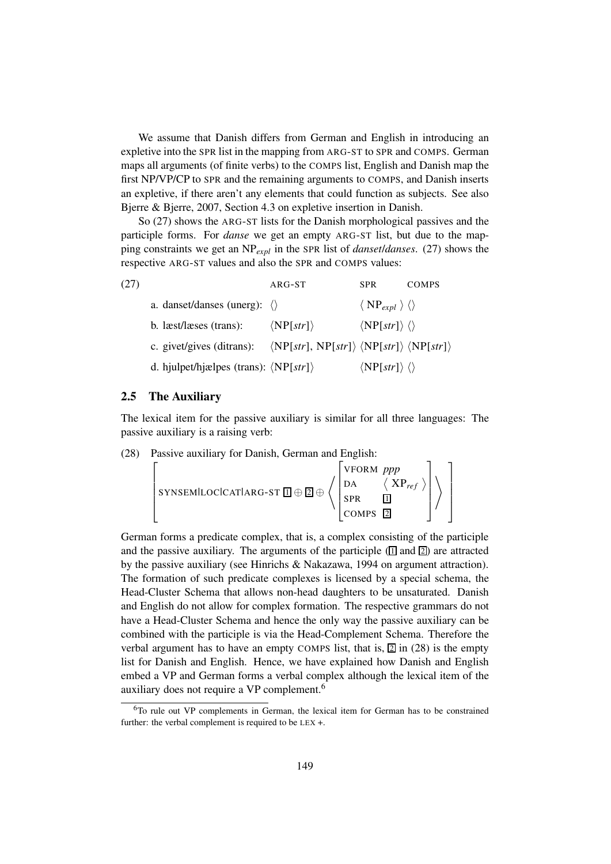We assume that Danish differs from German and English in introducing an expletive into the SPR list in the mapping from ARG-ST to SPR and COMPS. German maps all arguments (of finite verbs) to the COMPS list, English and Danish map the first NP/VP/CP to SPR and the remaining arguments to COMPS, and Danish inserts an expletive, if there aren't any elements that could function as subjects. See also Bjerre & Bjerre, 2007, Section 4.3 on expletive insertion in Danish.

So (27) shows the ARG-ST lists for the Danish morphological passives and the participle forms. For *danse* we get an empty ARG-ST list, but due to the mapping constraints we get an NP*expl* in the SPR list of *danset*/*danses*. (27) shows the respective ARG-ST values and also the SPR and COMPS values:

| (27) |                                                       | ARG-ST                                                                             | SPR.                                        | COMPS |
|------|-------------------------------------------------------|------------------------------------------------------------------------------------|---------------------------------------------|-------|
|      | a. danset/danses (unerg): $\langle \rangle$           |                                                                                    | $\langle NP_{expl} \rangle \langle \rangle$ |       |
|      | b. læst/læses (trans):                                | $\langle NP[str] \rangle$                                                          | $\langle NP[str] \rangle \langle \rangle$   |       |
|      | c. givet/gives (ditrans):                             | $\langle NP[str], NP[str] \rangle \langle NP[str] \rangle \langle NP[str] \rangle$ |                                             |       |
|      | d. hjulpet/hjælpes (trans): $\langle NP[str] \rangle$ |                                                                                    | $\langle NP[str] \rangle \langle \rangle$   |       |

#### 2.5 The Auxiliary

The lexical item for the passive auxiliary is similar for all three languages: The passive auxiliary is a raising verb:

(28) Passive auxiliary for Danish, German and English:

$$
\left[ \text{sysemilocicatlarg-st $\mathbb{Z}$} \oplus \left\langle \begin{bmatrix} \text{vform }ppp \\ \text{da} & \langle \text{XP}_{\text{ref}} \rangle \\ \text{spr} & \mathbb{Z} \\ \text{cons} & \mathbb{Z} \end{bmatrix} \right\rangle \right]
$$

German forms a predicate complex, that is, a complex consisting of the participle and the passive auxiliary. The arguments of the participle  $\left(\frac{1}{2}\right)$  and  $\left[\frac{1}{2}\right]$  are attracted by the passive auxiliary (see Hinrichs & Nakazawa, 1994 on argument attraction). The formation of such predicate complexes is licensed by a special schema, the Head-Cluster Schema that allows non-head daughters to be unsaturated. Danish and English do not allow for complex formation. The respective grammars do not have a Head-Cluster Schema and hence the only way the passive auxiliary can be combined with the participle is via the Head-Complement Schema. Therefore the verbal argument has to have an empty COMPS list, that is,  $\boxed{2}$  in (28) is the empty list for Danish and English. Hence, we have explained how Danish and English embed a VP and German forms a verbal complex although the lexical item of the auxiliary does not require a VP complement.<sup>6</sup>

<sup>6</sup>To rule out VP complements in German, the lexical item for German has to be constrained further: the verbal complement is required to be LEX +.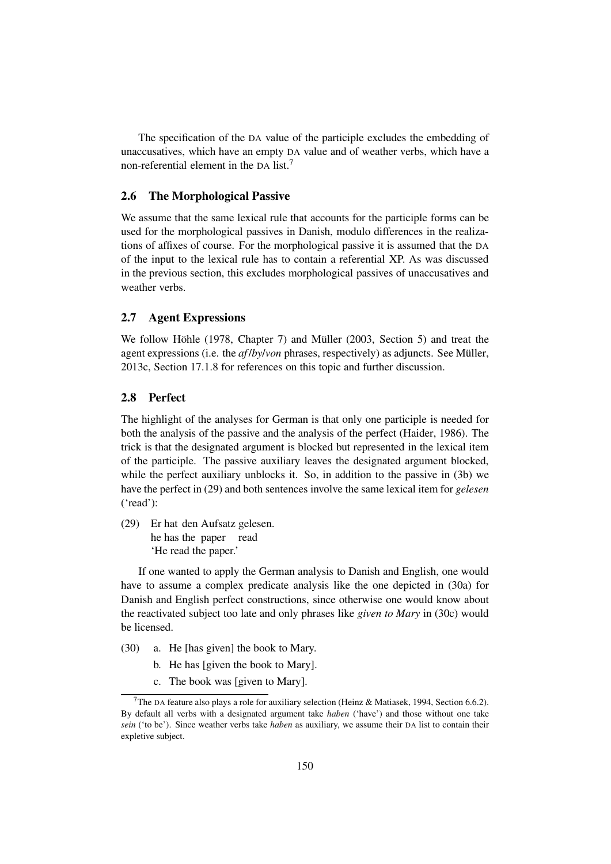The specification of the DA value of the participle excludes the embedding of unaccusatives, which have an empty DA value and of weather verbs, which have a non-referential element in the DA list.<sup>7</sup>

# 2.6 The Morphological Passive

We assume that the same lexical rule that accounts for the participle forms can be used for the morphological passives in Danish, modulo differences in the realizations of affixes of course. For the morphological passive it is assumed that the DA of the input to the lexical rule has to contain a referential XP. As was discussed in the previous section, this excludes morphological passives of unaccusatives and weather verbs.

## 2.7 Agent Expressions

We follow Höhle (1978, Chapter 7) and Müller (2003, Section 5) and treat the agent expressions (i.e. the *af* /*by*/*von* phrases, respectively) as adjuncts. See Müller, 2013c, Section 17.1.8 for references on this topic and further discussion.

# 2.8 Perfect

The highlight of the analyses for German is that only one participle is needed for both the analysis of the passive and the analysis of the perfect (Haider, 1986). The trick is that the designated argument is blocked but represented in the lexical item of the participle. The passive auxiliary leaves the designated argument blocked, while the perfect auxiliary unblocks it. So, in addition to the passive in (3b) we have the perfect in (29) and both sentences involve the same lexical item for *gelesen* ('read'):

(29) Er hat den Aufsatz gelesen. he has the paper read 'He read the paper.'

If one wanted to apply the German analysis to Danish and English, one would have to assume a complex predicate analysis like the one depicted in (30a) for Danish and English perfect constructions, since otherwise one would know about the reactivated subject too late and only phrases like *given to Mary* in (30c) would be licensed.

- (30) a. He [has given] the book to Mary.
	- b. He has [given the book to Mary].
	- c. The book was [given to Mary].

<sup>&</sup>lt;sup>7</sup>The DA feature also plays a role for auxiliary selection (Heinz & Matiasek, 1994, Section 6.6.2). By default all verbs with a designated argument take *haben* ('have') and those without one take *sein* ('to be'). Since weather verbs take *haben* as auxiliary, we assume their DA list to contain their expletive subject.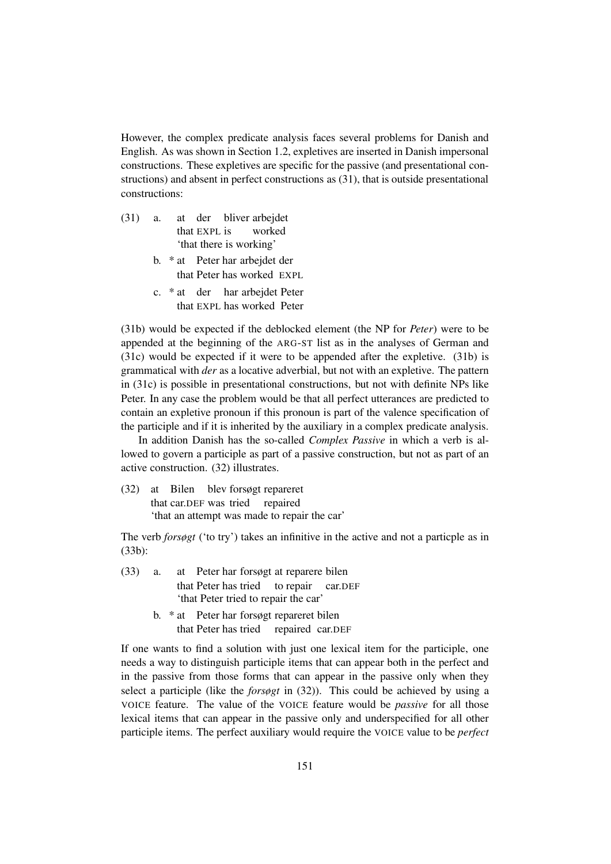However, the complex predicate analysis faces several problems for Danish and English. As was shown in Section 1.2, expletives are inserted in Danish impersonal constructions. These expletives are specific for the passive (and presentational constructions) and absent in perfect constructions as (31), that is outside presentational constructions:

- $(31)$  a. that EXPL is der bliver arbejdet worked 'that there is working'
	- b. \* at Peter har arbejdet der that Peter has worked EXPL
	- c. \* at der har arbejdet Peter that EXPL has worked Peter

(31b) would be expected if the deblocked element (the NP for *Peter*) were to be appended at the beginning of the ARG-ST list as in the analyses of German and (31c) would be expected if it were to be appended after the expletive. (31b) is grammatical with *der* as a locative adverbial, but not with an expletive. The pattern in (31c) is possible in presentational constructions, but not with definite NPs like Peter. In any case the problem would be that all perfect utterances are predicted to contain an expletive pronoun if this pronoun is part of the valence specification of the participle and if it is inherited by the auxiliary in a complex predicate analysis.

In addition Danish has the so-called *Complex Passive* in which a verb is allowed to govern a participle as part of a passive construction, but not as part of an active construction. (32) illustrates.

(32) at Bilen blev forsøgt repareret that car.DEF was tried repaired 'that an attempt was made to repair the car'

The verb *forsøgt* ('to try') takes an infinitive in the active and not a particple as in (33b):

- $(33)$  a. that Peter has tried to repair Peter har forsøgt at reparere bilen car.DEF 'that Peter tried to repair the car'
	- b. \* at Peter har forsøgt repareret bilen that Peter has tried repaired car.DEF

If one wants to find a solution with just one lexical item for the participle, one needs a way to distinguish participle items that can appear both in the perfect and in the passive from those forms that can appear in the passive only when they select a participle (like the *forsøgt* in (32)). This could be achieved by using a VOICE feature. The value of the VOICE feature would be *passive* for all those lexical items that can appear in the passive only and underspecified for all other participle items. The perfect auxiliary would require the VOICE value to be *perfect*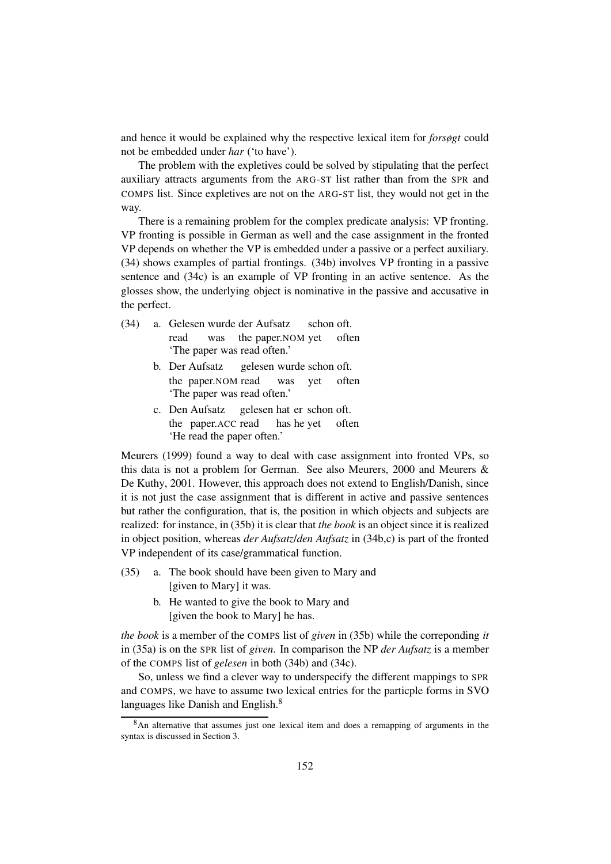and hence it would be explained why the respective lexical item for *forsøgt* could not be embedded under *har* ('to have').

The problem with the expletives could be solved by stipulating that the perfect auxiliary attracts arguments from the ARG-ST list rather than from the SPR and COMPS list. Since expletives are not on the ARG-ST list, they would not get in the way.

There is a remaining problem for the complex predicate analysis: VP fronting. VP fronting is possible in German as well and the case assignment in the fronted VP depends on whether the VP is embedded under a passive or a perfect auxiliary. (34) shows examples of partial frontings. (34b) involves VP fronting in a passive sentence and (34c) is an example of VP fronting in an active sentence. As the glosses show, the underlying object is nominative in the passive and accusative in the perfect.

- (34) a. Gelesen wurde der Aufsatz read was the paper.NOM yet often schon oft. 'The paper was read often.'
	- b. Der Aufsatz the paper.NOM read gelesen wurde schon oft. was yet often 'The paper was read often.'
	- c. Den Aufsatz the paper.ACC read gelesen hat er schon oft. has he yet often 'He read the paper often.'

Meurers (1999) found a way to deal with case assignment into fronted VPs, so this data is not a problem for German. See also Meurers, 2000 and Meurers & De Kuthy, 2001. However, this approach does not extend to English/Danish, since it is not just the case assignment that is different in active and passive sentences but rather the configuration, that is, the position in which objects and subjects are realized: for instance, in (35b) it is clear that *the book* is an object since it is realized in object position, whereas *der Aufsatz*/*den Aufsatz* in (34b,c) is part of the fronted VP independent of its case/grammatical function.

- (35) a. The book should have been given to Mary and [given to Mary] it was.
	- b. He wanted to give the book to Mary and [given the book to Mary] he has.

*the book* is a member of the COMPS list of *given* in (35b) while the correponding *it* in (35a) is on the SPR list of *given*. In comparison the NP *der Aufsatz* is a member of the COMPS list of *gelesen* in both (34b) and (34c).

So, unless we find a clever way to underspecify the different mappings to SPR and COMPS, we have to assume two lexical entries for the particple forms in SVO languages like Danish and English.<sup>8</sup>

<sup>&</sup>lt;sup>8</sup>An alternative that assumes just one lexical item and does a remapping of arguments in the syntax is discussed in Section 3.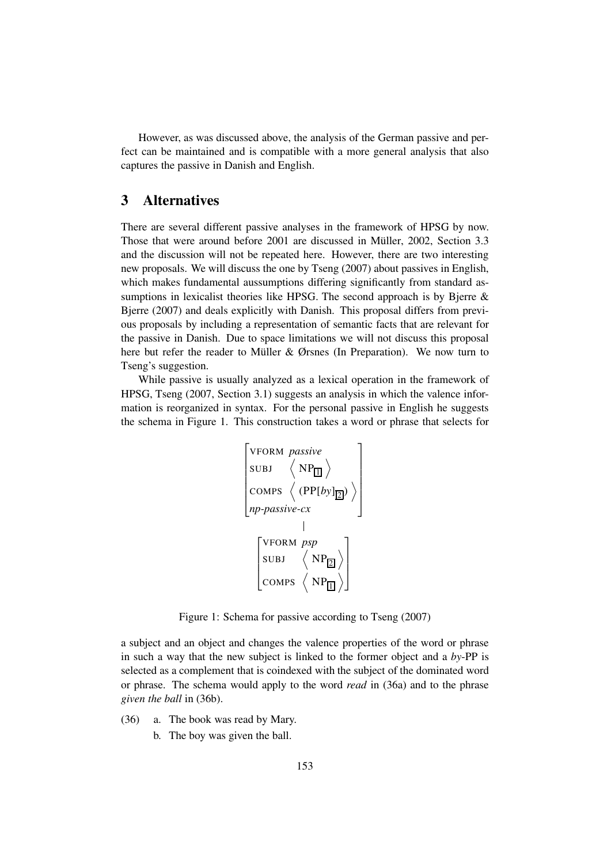However, as was discussed above, the analysis of the German passive and perfect can be maintained and is compatible with a more general analysis that also captures the passive in Danish and English.

# 3 Alternatives

There are several different passive analyses in the framework of HPSG by now. Those that were around before 2001 are discussed in Müller, 2002, Section 3.3 and the discussion will not be repeated here. However, there are two interesting new proposals. We will discuss the one by Tseng (2007) about passives in English, which makes fundamental aussumptions differing significantly from standard assumptions in lexicalist theories like HPSG. The second approach is by Bjerre & Bjerre (2007) and deals explicitly with Danish. This proposal differs from previous proposals by including a representation of semantic facts that are relevant for the passive in Danish. Due to space limitations we will not discuss this proposal here but refer the reader to Müller & Ørsnes (In Preparation). We now turn to Tseng's suggestion.

While passive is usually analyzed as a lexical operation in the framework of HPSG, Tseng (2007, Section 3.1) suggests an analysis in which the valence information is reorganized in syntax. For the personal passive in English he suggests the schema in Figure 1. This construction takes a word or phrase that selects for



Figure 1: Schema for passive according to Tseng (2007)

a subject and an object and changes the valence properties of the word or phrase in such a way that the new subject is linked to the former object and a *by*-PP is selected as a complement that is coindexed with the subject of the dominated word or phrase. The schema would apply to the word *read* in (36a) and to the phrase *given the ball* in (36b).

- (36) a. The book was read by Mary.
	- b. The boy was given the ball.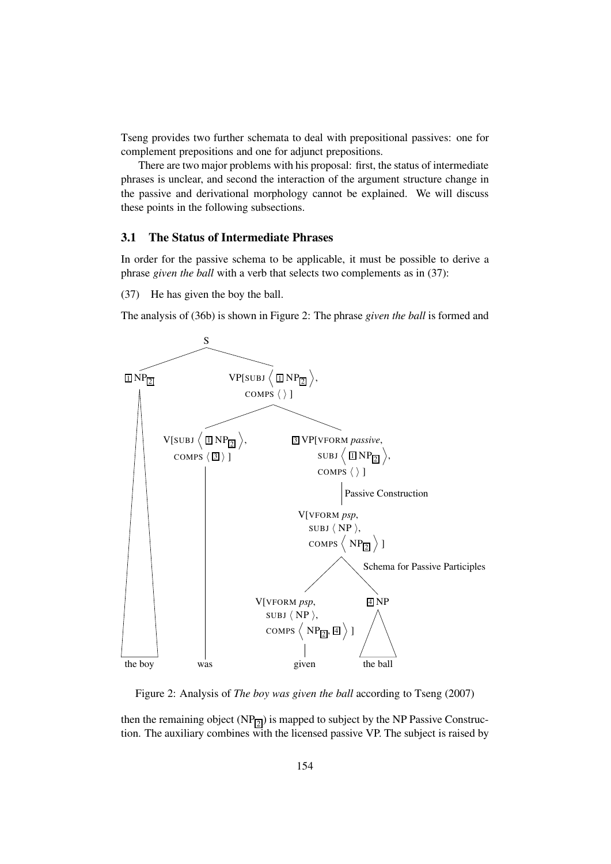Tseng provides two further schemata to deal with prepositional passives: one for complement prepositions and one for adjunct prepositions.

There are two major problems with his proposal: first, the status of intermediate phrases is unclear, and second the interaction of the argument structure change in the passive and derivational morphology cannot be explained. We will discuss these points in the following subsections.

# 3.1 The Status of Intermediate Phrases

In order for the passive schema to be applicable, it must be possible to derive a phrase *given the ball* with a verb that selects two complements as in (37):

(37) He has given the boy the ball.

The analysis of (36b) is shown in Figure 2: The phrase *given the ball* is formed and



Figure 2: Analysis of *The boy was given the ball* according to Tseng (2007)

then the remaining object  $(NP_{2})$  is mapped to subject by the NP Passive Construction. The auxiliary combines with the licensed passive VP. The subject is raised by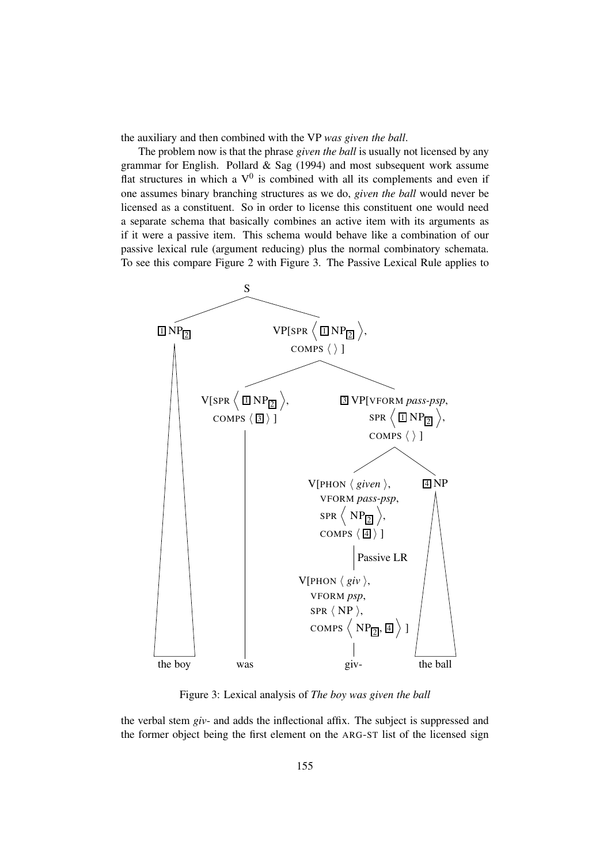the auxiliary and then combined with the VP *was given the ball*.

The problem now is that the phrase *given the ball* is usually not licensed by any grammar for English. Pollard  $\&$  Sag (1994) and most subsequent work assume flat structures in which a  $V^0$  is combined with all its complements and even if one assumes binary branching structures as we do, *given the ball* would never be licensed as a constituent. So in order to license this constituent one would need a separate schema that basically combines an active item with its arguments as if it were a passive item. This schema would behave like a combination of our passive lexical rule (argument reducing) plus the normal combinatory schemata. To see this compare Figure 2 with Figure 3. The Passive Lexical Rule applies to



Figure 3: Lexical analysis of *The boy was given the ball*

the verbal stem *giv*- and adds the inflectional affix. The subject is suppressed and the former object being the first element on the ARG-ST list of the licensed sign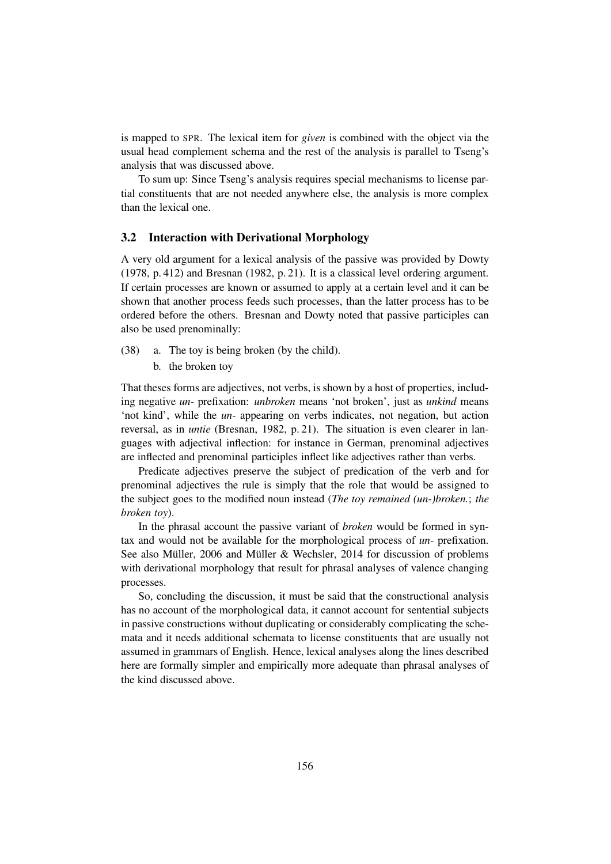is mapped to SPR. The lexical item for *given* is combined with the object via the usual head complement schema and the rest of the analysis is parallel to Tseng's analysis that was discussed above.

To sum up: Since Tseng's analysis requires special mechanisms to license partial constituents that are not needed anywhere else, the analysis is more complex than the lexical one.

## 3.2 Interaction with Derivational Morphology

A very old argument for a lexical analysis of the passive was provided by Dowty (1978, p. 412) and Bresnan (1982, p. 21). It is a classical level ordering argument. If certain processes are known or assumed to apply at a certain level and it can be shown that another process feeds such processes, than the latter process has to be ordered before the others. Bresnan and Dowty noted that passive participles can also be used prenominally:

- (38) a. The toy is being broken (by the child).
	- b. the broken toy

That theses forms are adjectives, not verbs, is shown by a host of properties, including negative *un-* prefixation: *unbroken* means 'not broken', just as *unkind* means 'not kind', while the *un-* appearing on verbs indicates, not negation, but action reversal, as in *untie* (Bresnan, 1982, p. 21). The situation is even clearer in languages with adjectival inflection: for instance in German, prenominal adjectives are inflected and prenominal participles inflect like adjectives rather than verbs.

Predicate adjectives preserve the subject of predication of the verb and for prenominal adjectives the rule is simply that the role that would be assigned to the subject goes to the modified noun instead (*The toy remained (un-)broken.*; *the broken toy*).

In the phrasal account the passive variant of *broken* would be formed in syntax and would not be available for the morphological process of *un*- prefixation. See also Müller, 2006 and Müller & Wechsler, 2014 for discussion of problems with derivational morphology that result for phrasal analyses of valence changing processes.

So, concluding the discussion, it must be said that the constructional analysis has no account of the morphological data, it cannot account for sentential subjects in passive constructions without duplicating or considerably complicating the schemata and it needs additional schemata to license constituents that are usually not assumed in grammars of English. Hence, lexical analyses along the lines described here are formally simpler and empirically more adequate than phrasal analyses of the kind discussed above.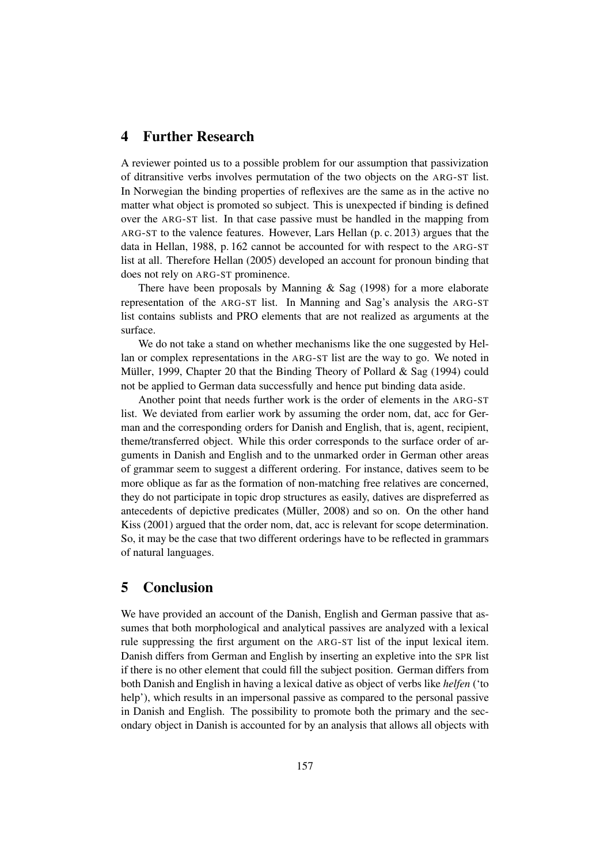# 4 Further Research

A reviewer pointed us to a possible problem for our assumption that passivization of ditransitive verbs involves permutation of the two objects on the ARG-ST list. In Norwegian the binding properties of reflexives are the same as in the active no matter what object is promoted so subject. This is unexpected if binding is defined over the ARG-ST list. In that case passive must be handled in the mapping from ARG-ST to the valence features. However, Lars Hellan (p. c. 2013) argues that the data in Hellan, 1988, p. 162 cannot be accounted for with respect to the ARG-ST list at all. Therefore Hellan (2005) developed an account for pronoun binding that does not rely on ARG-ST prominence.

There have been proposals by Manning  $\&$  Sag (1998) for a more elaborate representation of the ARG-ST list. In Manning and Sag's analysis the ARG-ST list contains sublists and PRO elements that are not realized as arguments at the surface.

We do not take a stand on whether mechanisms like the one suggested by Hellan or complex representations in the ARG-ST list are the way to go. We noted in Müller, 1999, Chapter 20 that the Binding Theory of Pollard & Sag (1994) could not be applied to German data successfully and hence put binding data aside.

Another point that needs further work is the order of elements in the ARG-ST list. We deviated from earlier work by assuming the order nom, dat, acc for German and the corresponding orders for Danish and English, that is, agent, recipient, theme/transferred object. While this order corresponds to the surface order of arguments in Danish and English and to the unmarked order in German other areas of grammar seem to suggest a different ordering. For instance, datives seem to be more oblique as far as the formation of non-matching free relatives are concerned, they do not participate in topic drop structures as easily, datives are dispreferred as antecedents of depictive predicates (Müller, 2008) and so on. On the other hand Kiss (2001) argued that the order nom, dat, acc is relevant for scope determination. So, it may be the case that two different orderings have to be reflected in grammars of natural languages.

# 5 Conclusion

We have provided an account of the Danish, English and German passive that assumes that both morphological and analytical passives are analyzed with a lexical rule suppressing the first argument on the ARG-ST list of the input lexical item. Danish differs from German and English by inserting an expletive into the SPR list if there is no other element that could fill the subject position. German differs from both Danish and English in having a lexical dative as object of verbs like *helfen* ('to help'), which results in an impersonal passive as compared to the personal passive in Danish and English. The possibility to promote both the primary and the secondary object in Danish is accounted for by an analysis that allows all objects with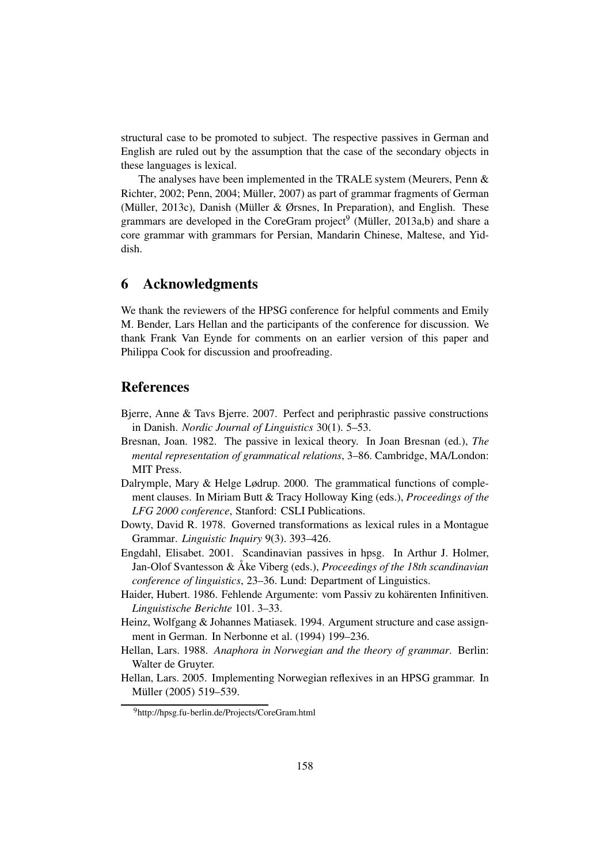structural case to be promoted to subject. The respective passives in German and English are ruled out by the assumption that the case of the secondary objects in these languages is lexical.

The analyses have been implemented in the TRALE system (Meurers, Penn & Richter, 2002; Penn, 2004; Müller, 2007) as part of grammar fragments of German (Müller, 2013c), Danish (Müller & Ørsnes, In Preparation), and English. These grammars are developed in the CoreGram project<sup>9</sup> (Müller, 2013a,b) and share a core grammar with grammars for Persian, Mandarin Chinese, Maltese, and Yiddish.

# 6 Acknowledgments

We thank the reviewers of the HPSG conference for helpful comments and Emily M. Bender, Lars Hellan and the participants of the conference for discussion. We thank Frank Van Eynde for comments on an earlier version of this paper and Philippa Cook for discussion and proofreading.

# References

- Bjerre, Anne & Tavs Bjerre. 2007. Perfect and periphrastic passive constructions in Danish. *Nordic Journal of Linguistics* 30(1). 5–53.
- Bresnan, Joan. 1982. The passive in lexical theory. In Joan Bresnan (ed.), *The mental representation of grammatical relations*, 3–86. Cambridge, MA/London: MIT Press.
- Dalrymple, Mary & Helge Lødrup. 2000. The grammatical functions of complement clauses. In Miriam Butt & Tracy Holloway King (eds.), *Proceedings of the LFG 2000 conference*, Stanford: CSLI Publications.
- Dowty, David R. 1978. Governed transformations as lexical rules in a Montague Grammar. *Linguistic Inquiry* 9(3). 393–426.
- Engdahl, Elisabet. 2001. Scandinavian passives in hpsg. In Arthur J. Holmer, Jan-Olof Svantesson & Åke Viberg (eds.), *Proceedings of the 18th scandinavian conference of linguistics*, 23–36. Lund: Department of Linguistics.
- Haider, Hubert. 1986. Fehlende Argumente: vom Passiv zu kohärenten Infinitiven. *Linguistische Berichte* 101. 3–33.
- Heinz, Wolfgang & Johannes Matiasek. 1994. Argument structure and case assignment in German. In Nerbonne et al. (1994) 199–236.
- Hellan, Lars. 1988. *Anaphora in Norwegian and the theory of grammar*. Berlin: Walter de Gruyter.
- Hellan, Lars. 2005. Implementing Norwegian reflexives in an HPSG grammar. In Müller (2005) 519–539.

<sup>&</sup>lt;sup>9</sup>http://hpsg.fu-berlin.de/Projects/CoreGram.html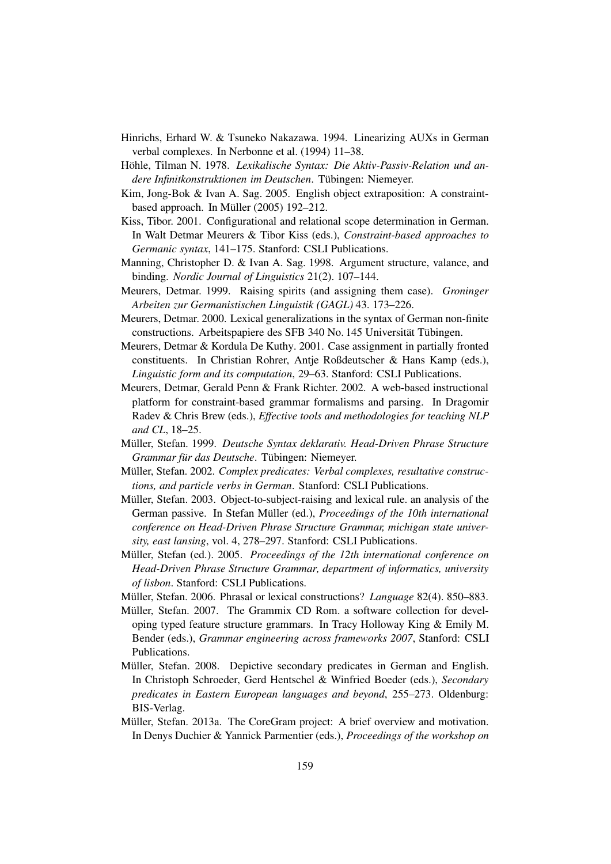- Hinrichs, Erhard W. & Tsuneko Nakazawa. 1994. Linearizing AUXs in German verbal complexes. In Nerbonne et al. (1994) 11–38.
- Höhle, Tilman N. 1978. *Lexikalische Syntax: Die Aktiv-Passiv-Relation und andere Infinitkonstruktionen im Deutschen*. Tübingen: Niemeyer.
- Kim, Jong-Bok & Ivan A. Sag. 2005. English object extraposition: A constraintbased approach. In Müller (2005) 192–212.
- Kiss, Tibor. 2001. Configurational and relational scope determination in German. In Walt Detmar Meurers & Tibor Kiss (eds.), *Constraint-based approaches to Germanic syntax*, 141–175. Stanford: CSLI Publications.
- Manning, Christopher D. & Ivan A. Sag. 1998. Argument structure, valance, and binding. *Nordic Journal of Linguistics* 21(2). 107–144.
- Meurers, Detmar. 1999. Raising spirits (and assigning them case). *Groninger Arbeiten zur Germanistischen Linguistik (GAGL)* 43. 173–226.
- Meurers, Detmar. 2000. Lexical generalizations in the syntax of German non-finite constructions. Arbeitspapiere des SFB 340 No. 145 Universität Tübingen.
- Meurers, Detmar & Kordula De Kuthy. 2001. Case assignment in partially fronted constituents. In Christian Rohrer, Antje Roßdeutscher & Hans Kamp (eds.), *Linguistic form and its computation*, 29–63. Stanford: CSLI Publications.
- Meurers, Detmar, Gerald Penn & Frank Richter. 2002. A web-based instructional platform for constraint-based grammar formalisms and parsing. In Dragomir Radev & Chris Brew (eds.), *Effective tools and methodologies for teaching NLP and CL*, 18–25.
- Müller, Stefan. 1999. *Deutsche Syntax deklarativ. Head-Driven Phrase Structure Grammar für das Deutsche*. Tübingen: Niemeyer.
- Müller, Stefan. 2002. *Complex predicates: Verbal complexes, resultative constructions, and particle verbs in German*. Stanford: CSLI Publications.
- Müller, Stefan. 2003. Object-to-subject-raising and lexical rule. an analysis of the German passive. In Stefan Müller (ed.), *Proceedings of the 10th international conference on Head-Driven Phrase Structure Grammar, michigan state university, east lansing*, vol. 4, 278–297. Stanford: CSLI Publications.
- Müller, Stefan (ed.). 2005. *Proceedings of the 12th international conference on Head-Driven Phrase Structure Grammar, department of informatics, university of lisbon*. Stanford: CSLI Publications.
- Müller, Stefan. 2006. Phrasal or lexical constructions? *Language* 82(4). 850–883.
- Müller, Stefan. 2007. The Grammix CD Rom. a software collection for developing typed feature structure grammars. In Tracy Holloway King & Emily M. Bender (eds.), *Grammar engineering across frameworks 2007*, Stanford: CSLI Publications.
- Müller, Stefan. 2008. Depictive secondary predicates in German and English. In Christoph Schroeder, Gerd Hentschel & Winfried Boeder (eds.), *Secondary predicates in Eastern European languages and beyond*, 255–273. Oldenburg: BIS-Verlag.
- Müller, Stefan. 2013a. The CoreGram project: A brief overview and motivation. In Denys Duchier & Yannick Parmentier (eds.), *Proceedings of the workshop on*